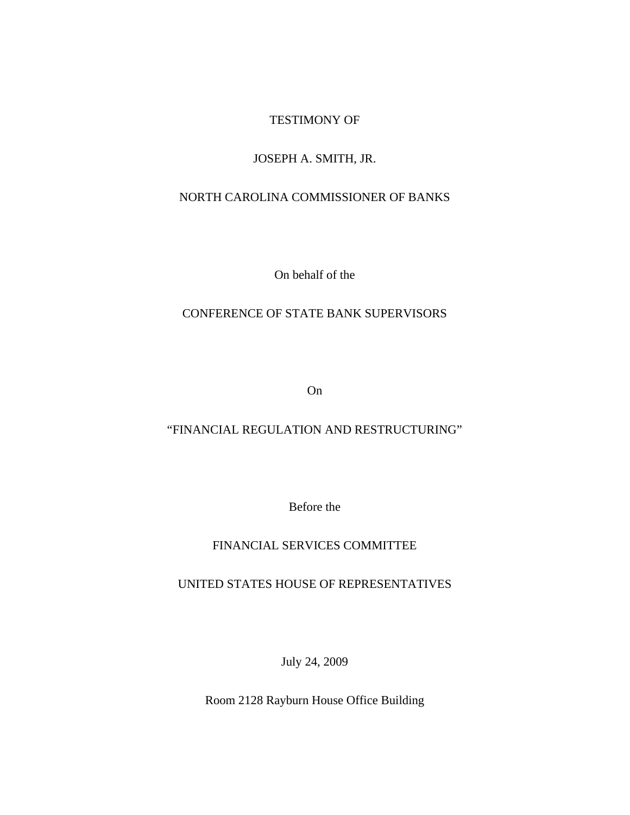#### TESTIMONY OF

#### JOSEPH A. SMITH, JR.

#### NORTH CAROLINA COMMISSIONER OF BANKS

On behalf of the

#### CONFERENCE OF STATE BANK SUPERVISORS

On

#### "FINANCIAL REGULATION AND RESTRUCTURING"

Before the

#### FINANCIAL SERVICES COMMITTEE

UNITED STATES HOUSE OF REPRESENTATIVES

July 24, 2009

Room 2128 Rayburn House Office Building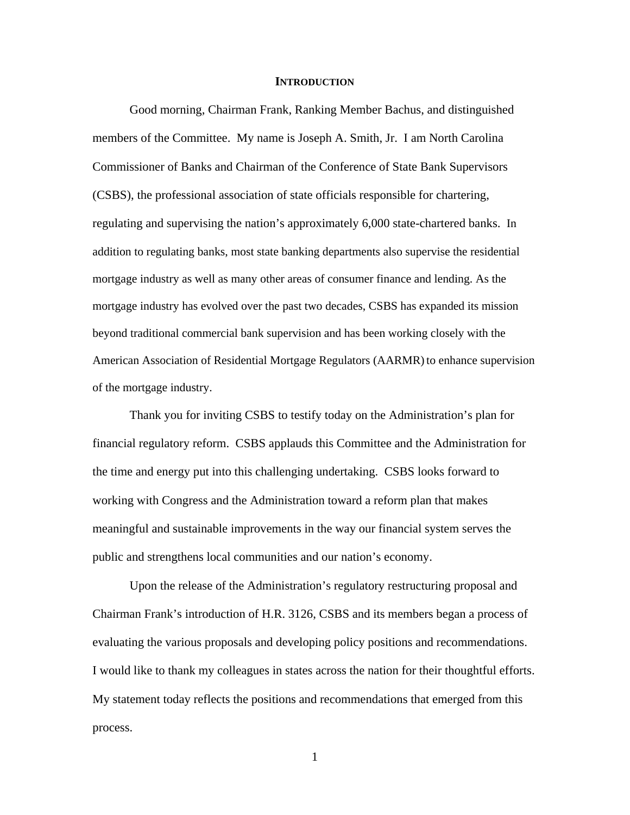#### **INTRODUCTION**

 Good morning, Chairman Frank, Ranking Member Bachus, and distinguished members of the Committee. My name is Joseph A. Smith, Jr. I am North Carolina Commissioner of Banks and Chairman of the Conference of State Bank Supervisors (CSBS), the professional association of state officials responsible for chartering, regulating and supervising the nation's approximately 6,000 state-chartered banks. In addition to regulating banks, most state banking departments also supervise the residential mortgage industry as well as many other areas of consumer finance and lending. As the mortgage industry has evolved over the past two decades, CSBS has expanded its mission beyond traditional commercial bank supervision and has been working closely with the American Association of Residential Mortgage Regulators (AARMR)to enhance supervision of the mortgage industry.

Thank you for inviting CSBS to testify today on the Administration's plan for financial regulatory reform. CSBS applauds this Committee and the Administration for the time and energy put into this challenging undertaking. CSBS looks forward to working with Congress and the Administration toward a reform plan that makes meaningful and sustainable improvements in the way our financial system serves the public and strengthens local communities and our nation's economy.

Upon the release of the Administration's regulatory restructuring proposal and Chairman Frank's introduction of H.R. 3126, CSBS and its members began a process of evaluating the various proposals and developing policy positions and recommendations. I would like to thank my colleagues in states across the nation for their thoughtful efforts. My statement today reflects the positions and recommendations that emerged from this process.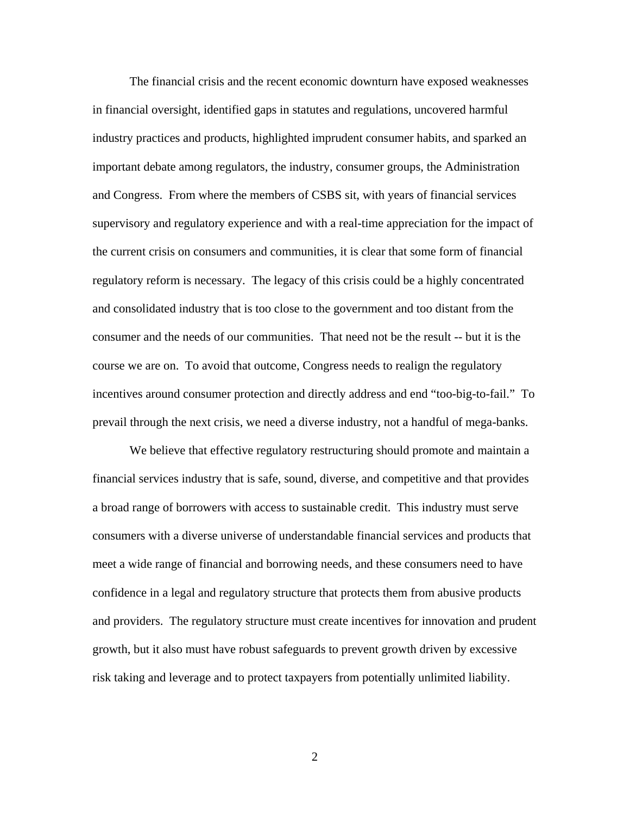The financial crisis and the recent economic downturn have exposed weaknesses in financial oversight, identified gaps in statutes and regulations, uncovered harmful industry practices and products, highlighted imprudent consumer habits, and sparked an important debate among regulators, the industry, consumer groups, the Administration and Congress. From where the members of CSBS sit, with years of financial services supervisory and regulatory experience and with a real-time appreciation for the impact of the current crisis on consumers and communities, it is clear that some form of financial regulatory reform is necessary. The legacy of this crisis could be a highly concentrated and consolidated industry that is too close to the government and too distant from the consumer and the needs of our communities. That need not be the result -- but it is the course we are on. To avoid that outcome, Congress needs to realign the regulatory incentives around consumer protection and directly address and end "too-big-to-fail." To prevail through the next crisis, we need a diverse industry, not a handful of mega-banks.

 We believe that effective regulatory restructuring should promote and maintain a financial services industry that is safe, sound, diverse, and competitive and that provides a broad range of borrowers with access to sustainable credit. This industry must serve consumers with a diverse universe of understandable financial services and products that meet a wide range of financial and borrowing needs, and these consumers need to have confidence in a legal and regulatory structure that protects them from abusive products and providers. The regulatory structure must create incentives for innovation and prudent growth, but it also must have robust safeguards to prevent growth driven by excessive risk taking and leverage and to protect taxpayers from potentially unlimited liability.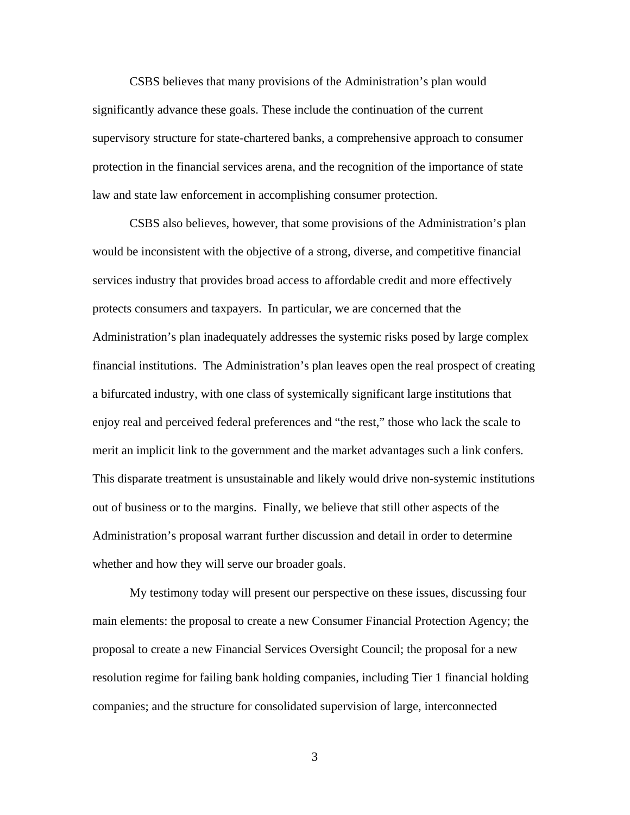CSBS believes that many provisions of the Administration's plan would significantly advance these goals. These include the continuation of the current supervisory structure for state-chartered banks, a comprehensive approach to consumer protection in the financial services arena, and the recognition of the importance of state law and state law enforcement in accomplishing consumer protection.

CSBS also believes, however, that some provisions of the Administration's plan would be inconsistent with the objective of a strong, diverse, and competitive financial services industry that provides broad access to affordable credit and more effectively protects consumers and taxpayers. In particular, we are concerned that the Administration's plan inadequately addresses the systemic risks posed by large complex financial institutions. The Administration's plan leaves open the real prospect of creating a bifurcated industry, with one class of systemically significant large institutions that enjoy real and perceived federal preferences and "the rest," those who lack the scale to merit an implicit link to the government and the market advantages such a link confers. This disparate treatment is unsustainable and likely would drive non-systemic institutions out of business or to the margins. Finally, we believe that still other aspects of the Administration's proposal warrant further discussion and detail in order to determine whether and how they will serve our broader goals.

My testimony today will present our perspective on these issues, discussing four main elements: the proposal to create a new Consumer Financial Protection Agency; the proposal to create a new Financial Services Oversight Council; the proposal for a new resolution regime for failing bank holding companies, including Tier 1 financial holding companies; and the structure for consolidated supervision of large, interconnected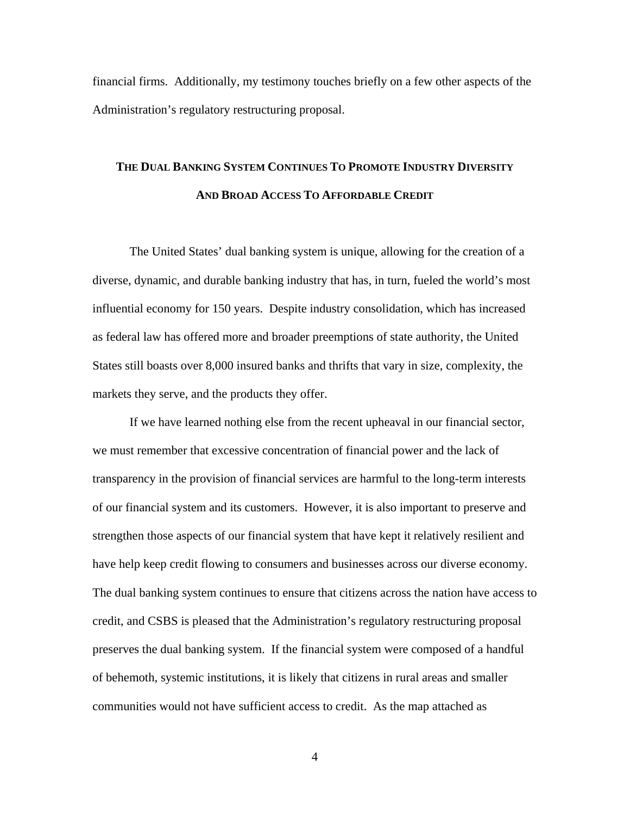financial firms. Additionally, my testimony touches briefly on a few other aspects of the Administration's regulatory restructuring proposal.

## **THE DUAL BANKING SYSTEM CONTINUES TO PROMOTE INDUSTRY DIVERSITY AND BROAD ACCESS TO AFFORDABLE CREDIT**

The United States' dual banking system is unique, allowing for the creation of a diverse, dynamic, and durable banking industry that has, in turn, fueled the world's most influential economy for 150 years. Despite industry consolidation, which has increased as federal law has offered more and broader preemptions of state authority, the United States still boasts over 8,000 insured banks and thrifts that vary in size, complexity, the markets they serve, and the products they offer.

If we have learned nothing else from the recent upheaval in our financial sector, we must remember that excessive concentration of financial power and the lack of transparency in the provision of financial services are harmful to the long-term interests of our financial system and its customers. However, it is also important to preserve and strengthen those aspects of our financial system that have kept it relatively resilient and have help keep credit flowing to consumers and businesses across our diverse economy. The dual banking system continues to ensure that citizens across the nation have access to credit, and CSBS is pleased that the Administration's regulatory restructuring proposal preserves the dual banking system. If the financial system were composed of a handful of behemoth, systemic institutions, it is likely that citizens in rural areas and smaller communities would not have sufficient access to credit. As the map attached as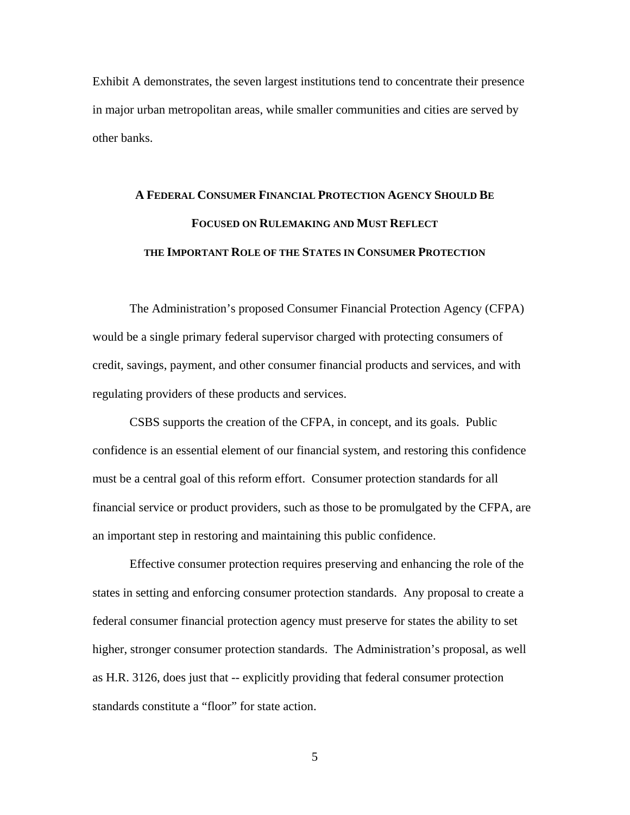Exhibit A demonstrates, the seven largest institutions tend to concentrate their presence in major urban metropolitan areas, while smaller communities and cities are served by other banks.

## **A FEDERAL CONSUMER FINANCIAL PROTECTION AGENCY SHOULD BE FOCUSED ON RULEMAKING AND MUST REFLECT THE IMPORTANT ROLE OF THE STATES IN CONSUMER PROTECTION**

 The Administration's proposed Consumer Financial Protection Agency (CFPA) would be a single primary federal supervisor charged with protecting consumers of credit, savings, payment, and other consumer financial products and services, and with regulating providers of these products and services.

 CSBS supports the creation of the CFPA, in concept, and its goals. Public confidence is an essential element of our financial system, and restoring this confidence must be a central goal of this reform effort. Consumer protection standards for all financial service or product providers, such as those to be promulgated by the CFPA, are an important step in restoring and maintaining this public confidence.

 Effective consumer protection requires preserving and enhancing the role of the states in setting and enforcing consumer protection standards. Any proposal to create a federal consumer financial protection agency must preserve for states the ability to set higher, stronger consumer protection standards. The Administration's proposal, as well as H.R. 3126, does just that -- explicitly providing that federal consumer protection standards constitute a "floor" for state action.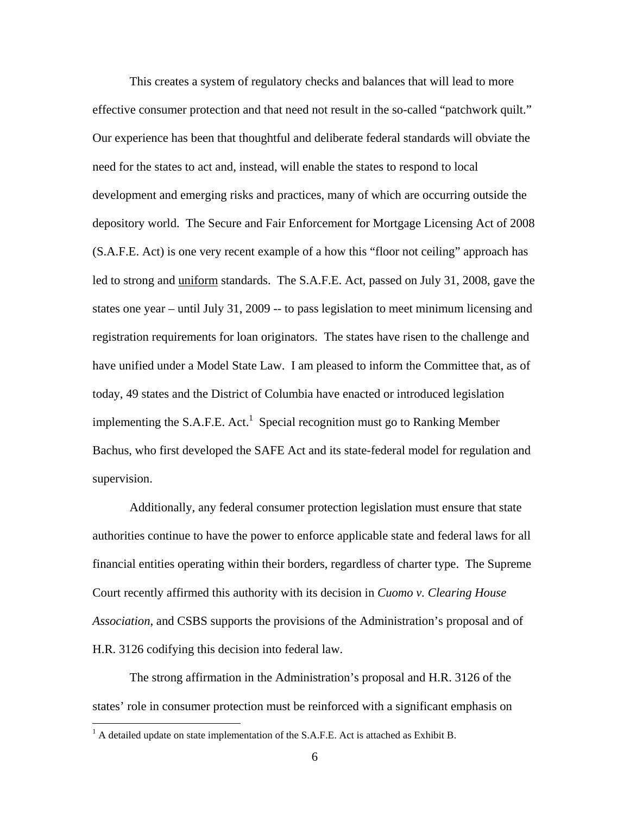This creates a system of regulatory checks and balances that will lead to more effective consumer protection and that need not result in the so-called "patchwork quilt." Our experience has been that thoughtful and deliberate federal standards will obviate the need for the states to act and, instead, will enable the states to respond to local development and emerging risks and practices, many of which are occurring outside the depository world. The Secure and Fair Enforcement for Mortgage Licensing Act of 2008 (S.A.F.E. Act) is one very recent example of a how this "floor not ceiling" approach has led to strong and uniform standards. The S.A.F.E. Act, passed on July 31, 2008, gave the states one year – until July 31, 2009 -- to pass legislation to meet minimum licensing and registration requirements for loan originators. The states have risen to the challenge and have unified under a Model State Law. I am pleased to inform the Committee that, as of today, 49 states and the District of Columbia have enacted or introduced legislation implementing the S.A.F.E.  $Act.$ <sup>1</sup> Special recognition must go to Ranking Member Bachus, who first developed the SAFE Act and its state-federal model for regulation and supervision.

Additionally, any federal consumer protection legislation must ensure that state authorities continue to have the power to enforce applicable state and federal laws for all financial entities operating within their borders, regardless of charter type. The Supreme Court recently affirmed this authority with its decision in *Cuomo v. Clearing House Association*, and CSBS supports the provisions of the Administration's proposal and of H.R. 3126 codifying this decision into federal law.

The strong affirmation in the Administration's proposal and H.R. 3126 of the states' role in consumer protection must be reinforced with a significant emphasis on

 $\overline{a}$ 

 $<sup>1</sup>$  A detailed update on state implementation of the S.A.F.E. Act is attached as Exhibit B.</sup>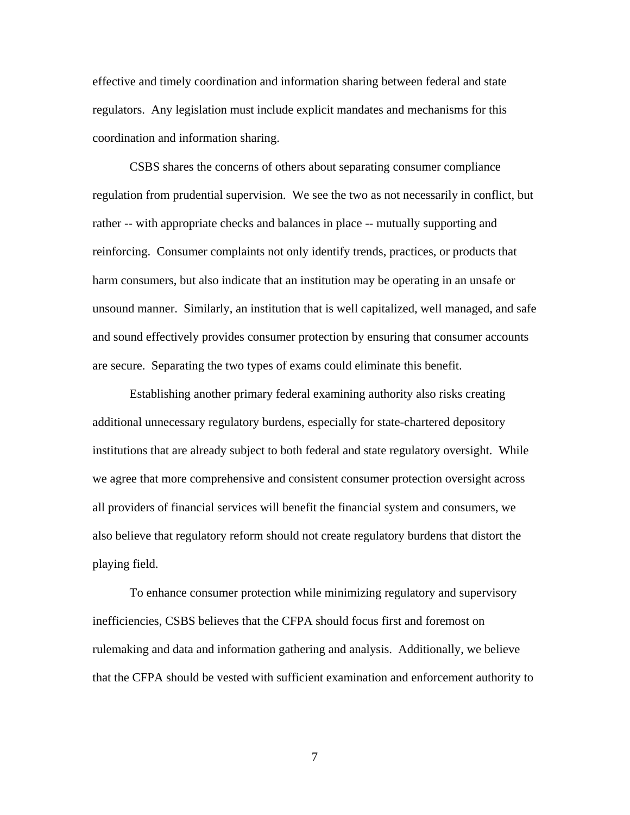effective and timely coordination and information sharing between federal and state regulators. Any legislation must include explicit mandates and mechanisms for this coordination and information sharing.

CSBS shares the concerns of others about separating consumer compliance regulation from prudential supervision. We see the two as not necessarily in conflict, but rather -- with appropriate checks and balances in place -- mutually supporting and reinforcing. Consumer complaints not only identify trends, practices, or products that harm consumers, but also indicate that an institution may be operating in an unsafe or unsound manner. Similarly, an institution that is well capitalized, well managed, and safe and sound effectively provides consumer protection by ensuring that consumer accounts are secure. Separating the two types of exams could eliminate this benefit.

Establishing another primary federal examining authority also risks creating additional unnecessary regulatory burdens, especially for state-chartered depository institutions that are already subject to both federal and state regulatory oversight. While we agree that more comprehensive and consistent consumer protection oversight across all providers of financial services will benefit the financial system and consumers, we also believe that regulatory reform should not create regulatory burdens that distort the playing field.

To enhance consumer protection while minimizing regulatory and supervisory inefficiencies, CSBS believes that the CFPA should focus first and foremost on rulemaking and data and information gathering and analysis. Additionally, we believe that the CFPA should be vested with sufficient examination and enforcement authority to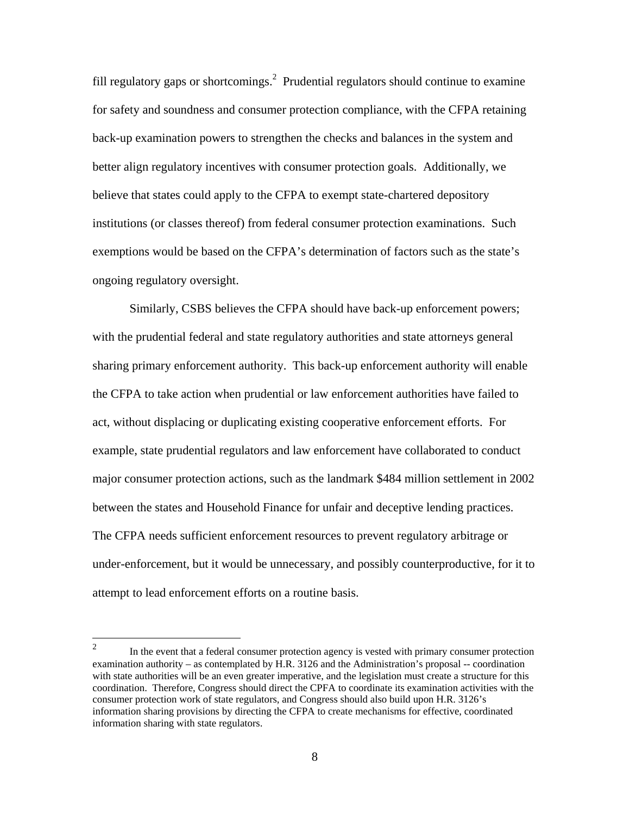fill regulatory gaps or shortcomings.<sup>2</sup> Prudential regulators should continue to examine for safety and soundness and consumer protection compliance, with the CFPA retaining back-up examination powers to strengthen the checks and balances in the system and better align regulatory incentives with consumer protection goals. Additionally, we believe that states could apply to the CFPA to exempt state-chartered depository institutions (or classes thereof) from federal consumer protection examinations. Such exemptions would be based on the CFPA's determination of factors such as the state's ongoing regulatory oversight.

Similarly, CSBS believes the CFPA should have back-up enforcement powers; with the prudential federal and state regulatory authorities and state attorneys general sharing primary enforcement authority. This back-up enforcement authority will enable the CFPA to take action when prudential or law enforcement authorities have failed to act, without displacing or duplicating existing cooperative enforcement efforts. For example, state prudential regulators and law enforcement have collaborated to conduct major consumer protection actions, such as the landmark \$484 million settlement in 2002 between the states and Household Finance for unfair and deceptive lending practices. The CFPA needs sufficient enforcement resources to prevent regulatory arbitrage or under-enforcement, but it would be unnecessary, and possibly counterproductive, for it to attempt to lead enforcement efforts on a routine basis.

 $\frac{1}{2}$  In the event that a federal consumer protection agency is vested with primary consumer protection examination authority – as contemplated by H.R. 3126 and the Administration's proposal -- coordination with state authorities will be an even greater imperative, and the legislation must create a structure for this coordination. Therefore, Congress should direct the CPFA to coordinate its examination activities with the consumer protection work of state regulators, and Congress should also build upon H.R. 3126's information sharing provisions by directing the CFPA to create mechanisms for effective, coordinated information sharing with state regulators.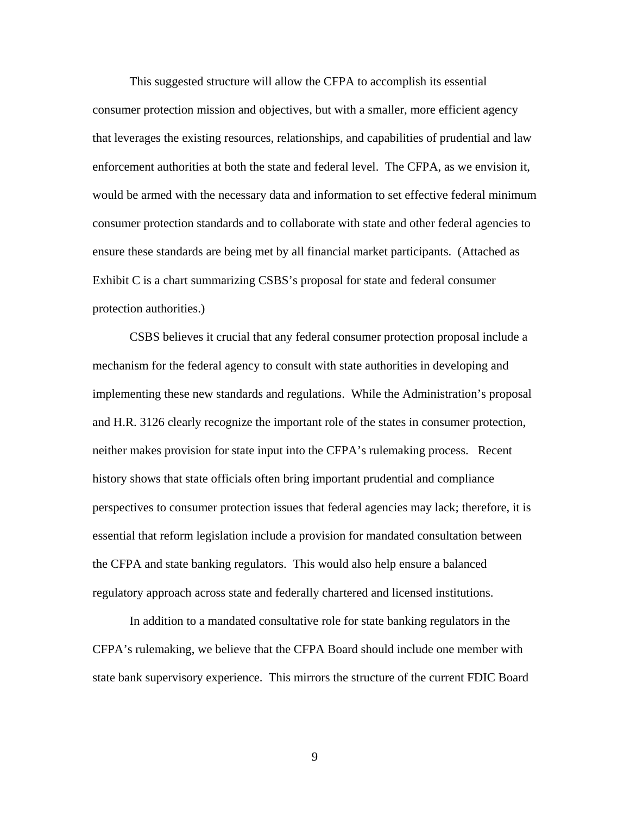This suggested structure will allow the CFPA to accomplish its essential consumer protection mission and objectives, but with a smaller, more efficient agency that leverages the existing resources, relationships, and capabilities of prudential and law enforcement authorities at both the state and federal level. The CFPA, as we envision it, would be armed with the necessary data and information to set effective federal minimum consumer protection standards and to collaborate with state and other federal agencies to ensure these standards are being met by all financial market participants. (Attached as Exhibit C is a chart summarizing CSBS's proposal for state and federal consumer protection authorities.)

CSBS believes it crucial that any federal consumer protection proposal include a mechanism for the federal agency to consult with state authorities in developing and implementing these new standards and regulations. While the Administration's proposal and H.R. 3126 clearly recognize the important role of the states in consumer protection, neither makes provision for state input into the CFPA's rulemaking process. Recent history shows that state officials often bring important prudential and compliance perspectives to consumer protection issues that federal agencies may lack; therefore, it is essential that reform legislation include a provision for mandated consultation between the CFPA and state banking regulators. This would also help ensure a balanced regulatory approach across state and federally chartered and licensed institutions.

In addition to a mandated consultative role for state banking regulators in the CFPA's rulemaking, we believe that the CFPA Board should include one member with state bank supervisory experience. This mirrors the structure of the current FDIC Board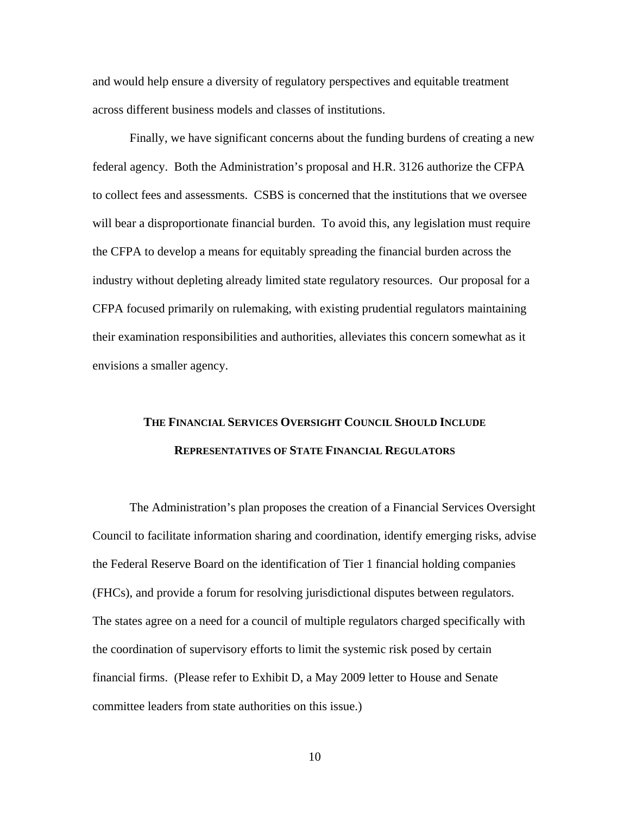and would help ensure a diversity of regulatory perspectives and equitable treatment across different business models and classes of institutions.

Finally, we have significant concerns about the funding burdens of creating a new federal agency. Both the Administration's proposal and H.R. 3126 authorize the CFPA to collect fees and assessments. CSBS is concerned that the institutions that we oversee will bear a disproportionate financial burden. To avoid this, any legislation must require the CFPA to develop a means for equitably spreading the financial burden across the industry without depleting already limited state regulatory resources. Our proposal for a CFPA focused primarily on rulemaking, with existing prudential regulators maintaining their examination responsibilities and authorities, alleviates this concern somewhat as it envisions a smaller agency.

## **THE FINANCIAL SERVICES OVERSIGHT COUNCIL SHOULD INCLUDE REPRESENTATIVES OF STATE FINANCIAL REGULATORS**

The Administration's plan proposes the creation of a Financial Services Oversight Council to facilitate information sharing and coordination, identify emerging risks, advise the Federal Reserve Board on the identification of Tier 1 financial holding companies (FHCs), and provide a forum for resolving jurisdictional disputes between regulators. The states agree on a need for a council of multiple regulators charged specifically with the coordination of supervisory efforts to limit the systemic risk posed by certain financial firms. (Please refer to Exhibit D, a May 2009 letter to House and Senate committee leaders from state authorities on this issue.)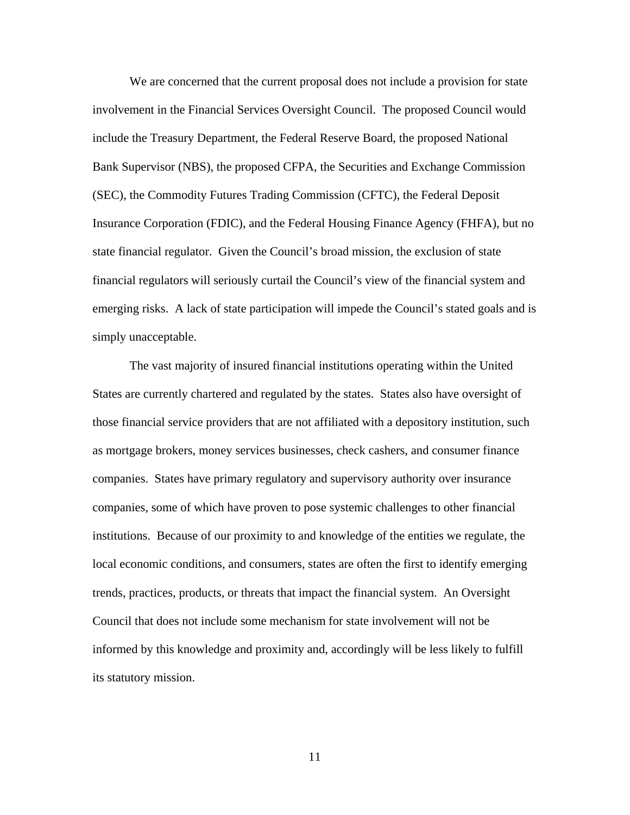We are concerned that the current proposal does not include a provision for state involvement in the Financial Services Oversight Council. The proposed Council would include the Treasury Department, the Federal Reserve Board, the proposed National Bank Supervisor (NBS), the proposed CFPA, the Securities and Exchange Commission (SEC), the Commodity Futures Trading Commission (CFTC), the Federal Deposit Insurance Corporation (FDIC), and the Federal Housing Finance Agency (FHFA), but no state financial regulator. Given the Council's broad mission, the exclusion of state financial regulators will seriously curtail the Council's view of the financial system and emerging risks. A lack of state participation will impede the Council's stated goals and is simply unacceptable.

The vast majority of insured financial institutions operating within the United States are currently chartered and regulated by the states. States also have oversight of those financial service providers that are not affiliated with a depository institution, such as mortgage brokers, money services businesses, check cashers, and consumer finance companies. States have primary regulatory and supervisory authority over insurance companies, some of which have proven to pose systemic challenges to other financial institutions. Because of our proximity to and knowledge of the entities we regulate, the local economic conditions, and consumers, states are often the first to identify emerging trends, practices, products, or threats that impact the financial system. An Oversight Council that does not include some mechanism for state involvement will not be informed by this knowledge and proximity and, accordingly will be less likely to fulfill its statutory mission.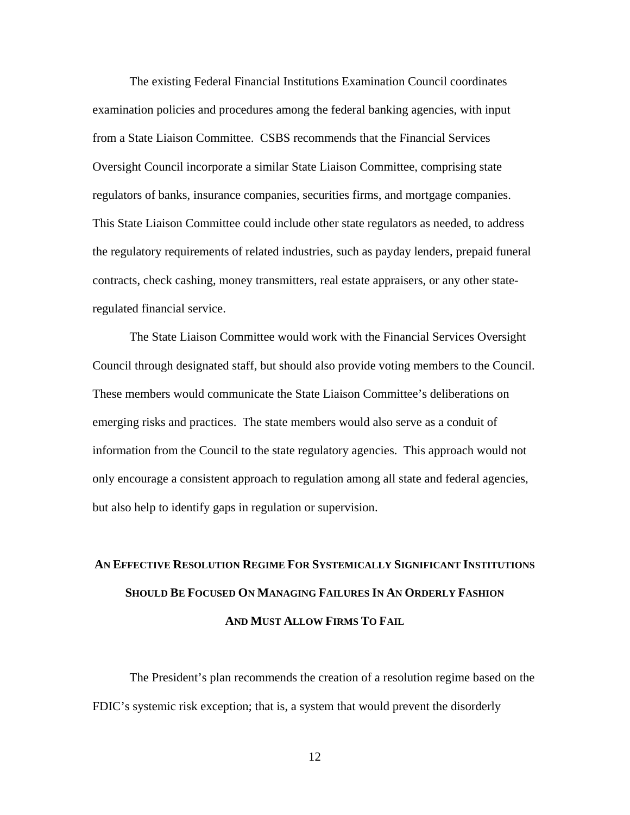The existing Federal Financial Institutions Examination Council coordinates examination policies and procedures among the federal banking agencies, with input from a State Liaison Committee. CSBS recommends that the Financial Services Oversight Council incorporate a similar State Liaison Committee, comprising state regulators of banks, insurance companies, securities firms, and mortgage companies. This State Liaison Committee could include other state regulators as needed, to address the regulatory requirements of related industries, such as payday lenders, prepaid funeral contracts, check cashing, money transmitters, real estate appraisers, or any other stateregulated financial service.

The State Liaison Committee would work with the Financial Services Oversight Council through designated staff, but should also provide voting members to the Council. These members would communicate the State Liaison Committee's deliberations on emerging risks and practices. The state members would also serve as a conduit of information from the Council to the state regulatory agencies. This approach would not only encourage a consistent approach to regulation among all state and federal agencies, but also help to identify gaps in regulation or supervision.

## **AN EFFECTIVE RESOLUTION REGIME FOR SYSTEMICALLY SIGNIFICANT INSTITUTIONS SHOULD BE FOCUSED ON MANAGING FAILURES IN AN ORDERLY FASHION AND MUST ALLOW FIRMS TO FAIL**

 The President's plan recommends the creation of a resolution regime based on the FDIC's systemic risk exception; that is, a system that would prevent the disorderly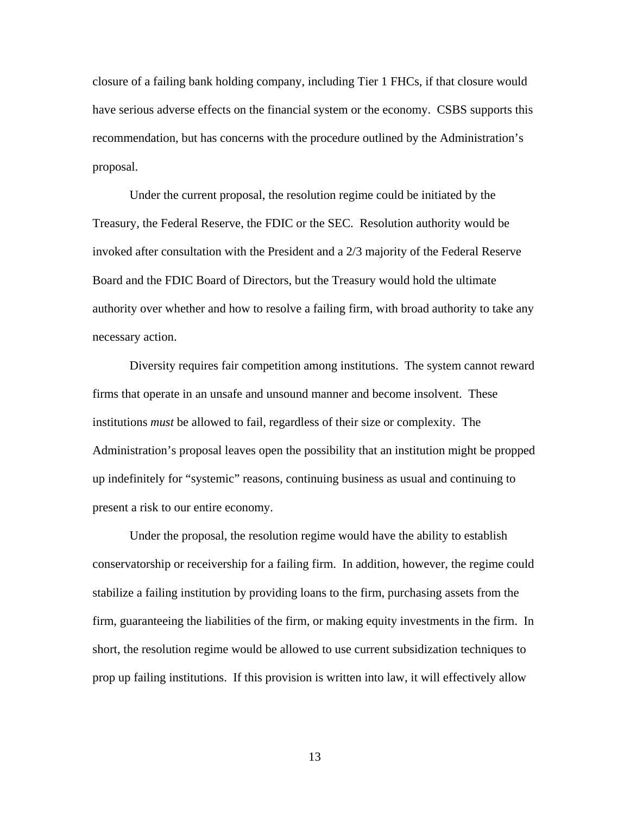closure of a failing bank holding company, including Tier 1 FHCs, if that closure would have serious adverse effects on the financial system or the economy. CSBS supports this recommendation, but has concerns with the procedure outlined by the Administration's proposal.

 Under the current proposal, the resolution regime could be initiated by the Treasury, the Federal Reserve, the FDIC or the SEC. Resolution authority would be invoked after consultation with the President and a 2/3 majority of the Federal Reserve Board and the FDIC Board of Directors, but the Treasury would hold the ultimate authority over whether and how to resolve a failing firm, with broad authority to take any necessary action.

Diversity requires fair competition among institutions. The system cannot reward firms that operate in an unsafe and unsound manner and become insolvent. These institutions *must* be allowed to fail, regardless of their size or complexity. The Administration's proposal leaves open the possibility that an institution might be propped up indefinitely for "systemic" reasons, continuing business as usual and continuing to present a risk to our entire economy.

Under the proposal, the resolution regime would have the ability to establish conservatorship or receivership for a failing firm. In addition, however, the regime could stabilize a failing institution by providing loans to the firm, purchasing assets from the firm, guaranteeing the liabilities of the firm, or making equity investments in the firm. In short, the resolution regime would be allowed to use current subsidization techniques to prop up failing institutions. If this provision is written into law, it will effectively allow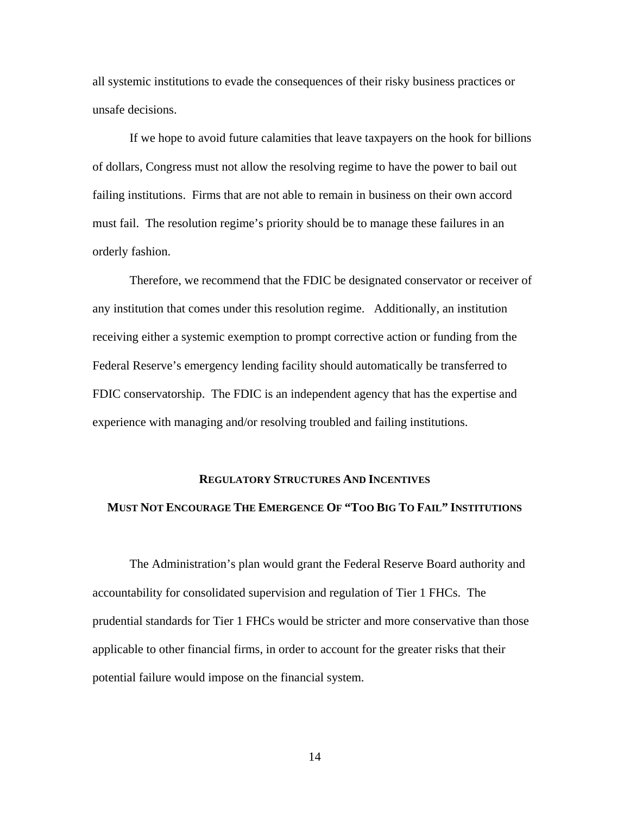all systemic institutions to evade the consequences of their risky business practices or unsafe decisions.

If we hope to avoid future calamities that leave taxpayers on the hook for billions of dollars, Congress must not allow the resolving regime to have the power to bail out failing institutions. Firms that are not able to remain in business on their own accord must fail. The resolution regime's priority should be to manage these failures in an orderly fashion.

Therefore, we recommend that the FDIC be designated conservator or receiver of any institution that comes under this resolution regime. Additionally, an institution receiving either a systemic exemption to prompt corrective action or funding from the Federal Reserve's emergency lending facility should automatically be transferred to FDIC conservatorship. The FDIC is an independent agency that has the expertise and experience with managing and/or resolving troubled and failing institutions.

#### **REGULATORY STRUCTURES AND INCENTIVES**

#### **MUST NOT ENCOURAGE THE EMERGENCE OF "TOO BIG TO FAIL" INSTITUTIONS**

 The Administration's plan would grant the Federal Reserve Board authority and accountability for consolidated supervision and regulation of Tier 1 FHCs. The prudential standards for Tier 1 FHCs would be stricter and more conservative than those applicable to other financial firms, in order to account for the greater risks that their potential failure would impose on the financial system.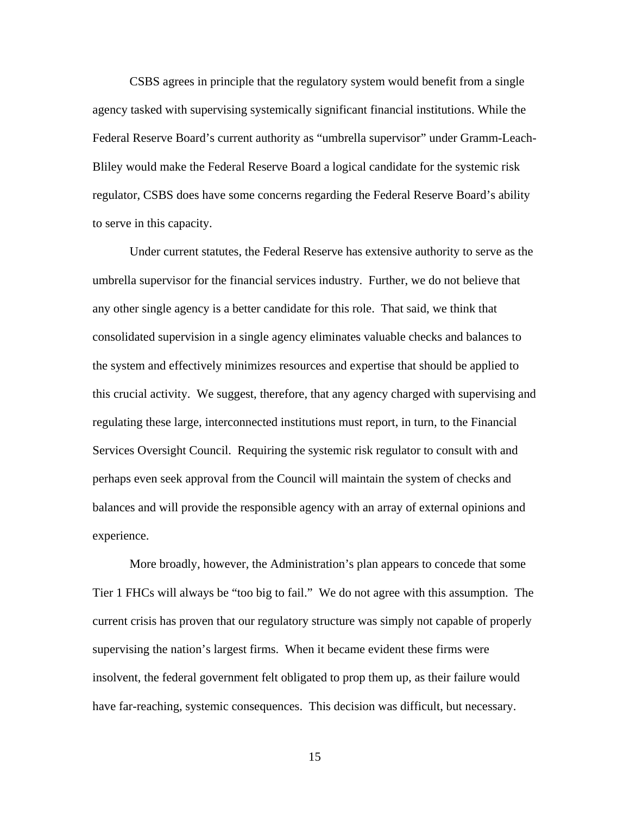CSBS agrees in principle that the regulatory system would benefit from a single agency tasked with supervising systemically significant financial institutions. While the Federal Reserve Board's current authority as "umbrella supervisor" under Gramm-Leach-Bliley would make the Federal Reserve Board a logical candidate for the systemic risk regulator, CSBS does have some concerns regarding the Federal Reserve Board's ability to serve in this capacity.

 Under current statutes, the Federal Reserve has extensive authority to serve as the umbrella supervisor for the financial services industry. Further, we do not believe that any other single agency is a better candidate for this role. That said, we think that consolidated supervision in a single agency eliminates valuable checks and balances to the system and effectively minimizes resources and expertise that should be applied to this crucial activity. We suggest, therefore, that any agency charged with supervising and regulating these large, interconnected institutions must report, in turn, to the Financial Services Oversight Council. Requiring the systemic risk regulator to consult with and perhaps even seek approval from the Council will maintain the system of checks and balances and will provide the responsible agency with an array of external opinions and experience.

 More broadly, however, the Administration's plan appears to concede that some Tier 1 FHCs will always be "too big to fail." We do not agree with this assumption. The current crisis has proven that our regulatory structure was simply not capable of properly supervising the nation's largest firms. When it became evident these firms were insolvent, the federal government felt obligated to prop them up, as their failure would have far-reaching, systemic consequences. This decision was difficult, but necessary.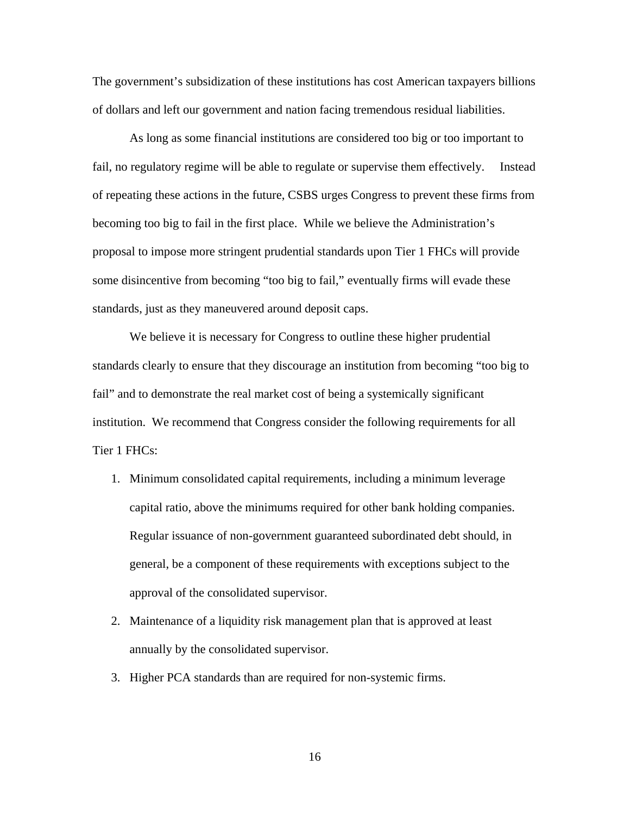The government's subsidization of these institutions has cost American taxpayers billions of dollars and left our government and nation facing tremendous residual liabilities.

 As long as some financial institutions are considered too big or too important to fail, no regulatory regime will be able to regulate or supervise them effectively. Instead of repeating these actions in the future, CSBS urges Congress to prevent these firms from becoming too big to fail in the first place. While we believe the Administration's proposal to impose more stringent prudential standards upon Tier 1 FHCs will provide some disincentive from becoming "too big to fail," eventually firms will evade these standards, just as they maneuvered around deposit caps.

 We believe it is necessary for Congress to outline these higher prudential standards clearly to ensure that they discourage an institution from becoming "too big to fail" and to demonstrate the real market cost of being a systemically significant institution. We recommend that Congress consider the following requirements for all Tier 1 FHCs:

- 1. Minimum consolidated capital requirements, including a minimum leverage capital ratio, above the minimums required for other bank holding companies. Regular issuance of non-government guaranteed subordinated debt should, in general, be a component of these requirements with exceptions subject to the approval of the consolidated supervisor.
- 2. Maintenance of a liquidity risk management plan that is approved at least annually by the consolidated supervisor.
- 3. Higher PCA standards than are required for non-systemic firms.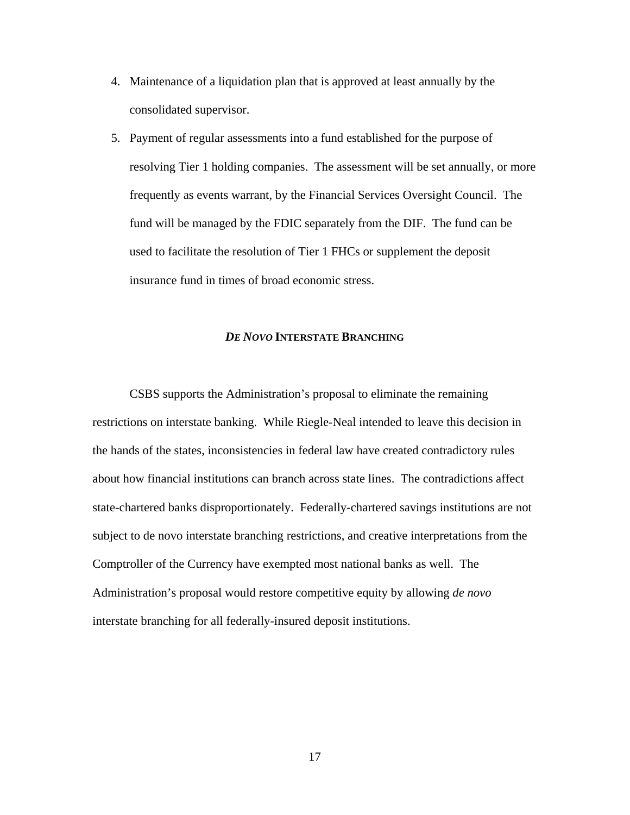- 4. Maintenance of a liquidation plan that is approved at least annually by the consolidated supervisor.
- 5. Payment of regular assessments into a fund established for the purpose of resolving Tier 1 holding companies. The assessment will be set annually, or more frequently as events warrant, by the Financial Services Oversight Council. The fund will be managed by the FDIC separately from the DIF. The fund can be used to facilitate the resolution of Tier 1 FHCs or supplement the deposit insurance fund in times of broad economic stress.

#### *DE NOVO* **INTERSTATE BRANCHING**

CSBS supports the Administration's proposal to eliminate the remaining restrictions on interstate banking. While Riegle-Neal intended to leave this decision in the hands of the states, inconsistencies in federal law have created contradictory rules about how financial institutions can branch across state lines. The contradictions affect state-chartered banks disproportionately. Federally-chartered savings institutions are not subject to de novo interstate branching restrictions, and creative interpretations from the Comptroller of the Currency have exempted most national banks as well. The Administration's proposal would restore competitive equity by allowing *de novo* interstate branching for all federally-insured deposit institutions.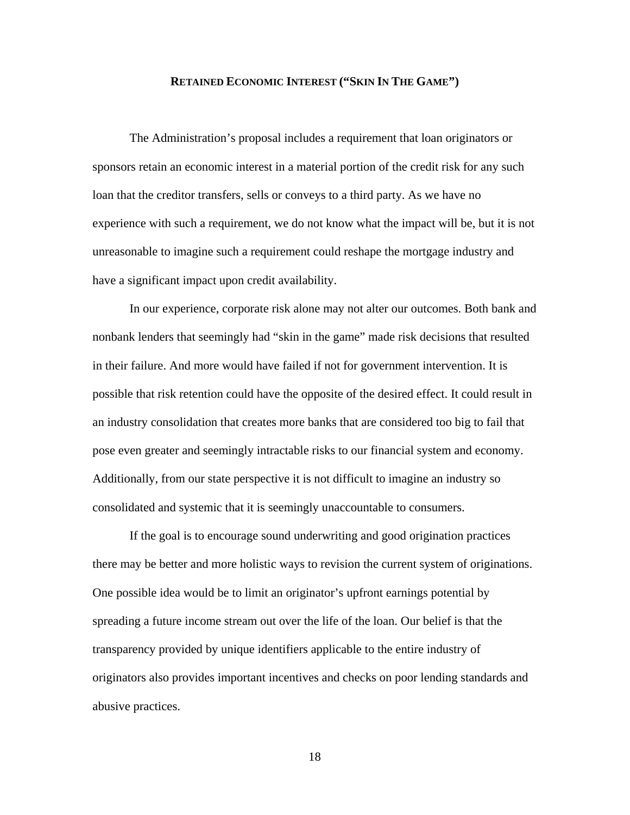#### **RETAINED ECONOMIC INTEREST ("SKIN IN THE GAME")**

The Administration's proposal includes a requirement that loan originators or sponsors retain an economic interest in a material portion of the credit risk for any such loan that the creditor transfers, sells or conveys to a third party. As we have no experience with such a requirement, we do not know what the impact will be, but it is not unreasonable to imagine such a requirement could reshape the mortgage industry and have a significant impact upon credit availability.

In our experience, corporate risk alone may not alter our outcomes. Both bank and nonbank lenders that seemingly had "skin in the game" made risk decisions that resulted in their failure. And more would have failed if not for government intervention. It is possible that risk retention could have the opposite of the desired effect. It could result in an industry consolidation that creates more banks that are considered too big to fail that pose even greater and seemingly intractable risks to our financial system and economy. Additionally, from our state perspective it is not difficult to imagine an industry so consolidated and systemic that it is seemingly unaccountable to consumers.

If the goal is to encourage sound underwriting and good origination practices there may be better and more holistic ways to revision the current system of originations. One possible idea would be to limit an originator's upfront earnings potential by spreading a future income stream out over the life of the loan. Our belief is that the transparency provided by unique identifiers applicable to the entire industry of originators also provides important incentives and checks on poor lending standards and abusive practices.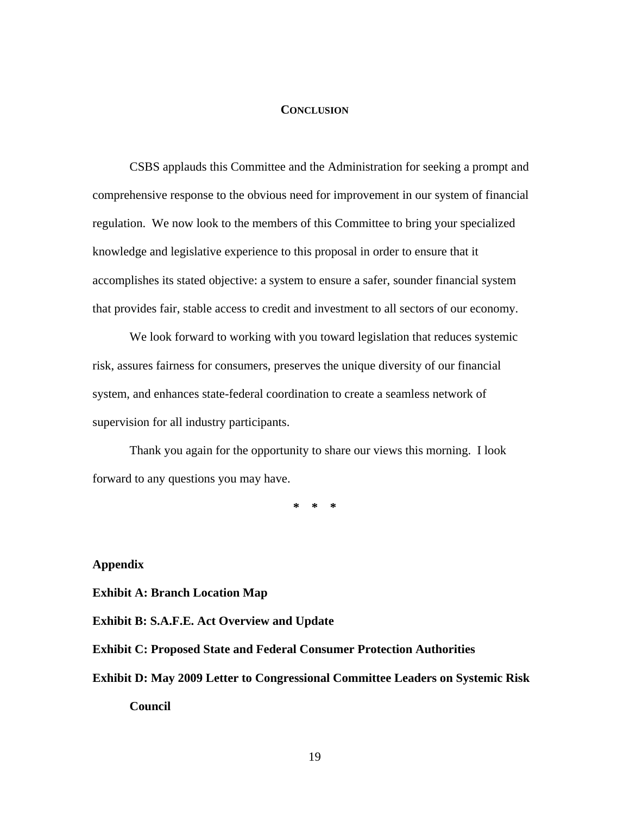#### **CONCLUSION**

 CSBS applauds this Committee and the Administration for seeking a prompt and comprehensive response to the obvious need for improvement in our system of financial regulation. We now look to the members of this Committee to bring your specialized knowledge and legislative experience to this proposal in order to ensure that it accomplishes its stated objective: a system to ensure a safer, sounder financial system that provides fair, stable access to credit and investment to all sectors of our economy.

 We look forward to working with you toward legislation that reduces systemic risk, assures fairness for consumers, preserves the unique diversity of our financial system, and enhances state-federal coordination to create a seamless network of supervision for all industry participants.

 Thank you again for the opportunity to share our views this morning. I look forward to any questions you may have.

**\* \* \*** 

**Appendix** 

**Exhibit A: Branch Location Map**

**Exhibit B: S.A.F.E. Act Overview and Update** 

**Exhibit C: Proposed State and Federal Consumer Protection Authorities** 

**Exhibit D: May 2009 Letter to Congressional Committee Leaders on Systemic Risk** 

**Council**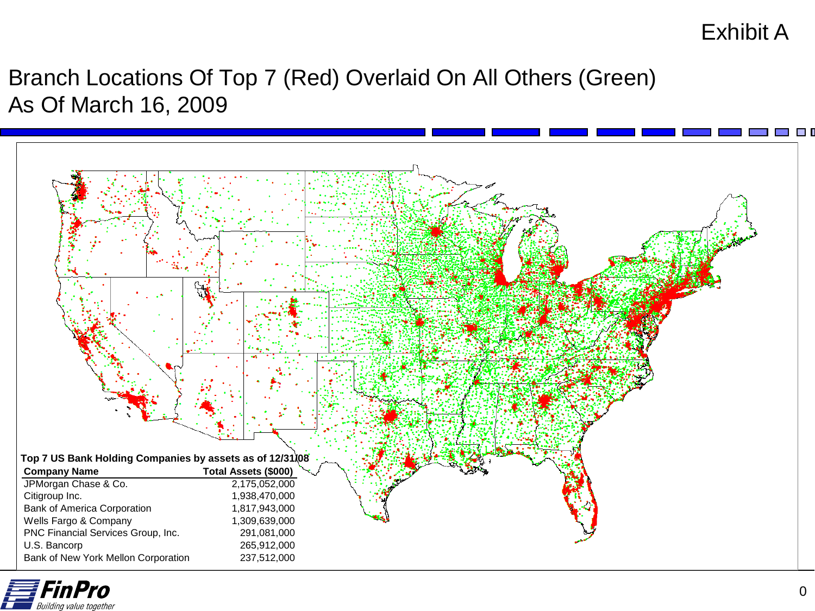## Exhibit A

## Branch Locations Of Top 7 (Red) Overlaid On All Others (Green) As Of March 16, 2009



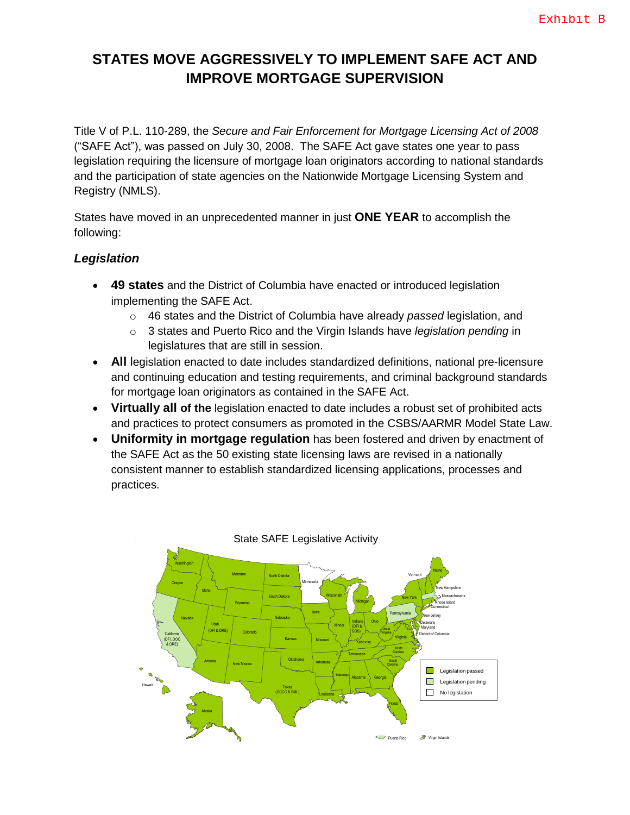### **STATES MOVE AGGRESSIVELY TO IMPLEMENT SAFE ACT AND IMPROVE MORTGAGE SUPERVISION**

Title V of P.L. 110-289, the *Secure and Fair Enforcement for Mortgage Licensing Act of 2008* ("SAFE Act"), was passed on July 30, 2008. The SAFE Act gave states one year to pass legislation requiring the licensure of mortgage loan originators according to national standards and the participation of state agencies on the Nationwide Mortgage Licensing System and Registry (NMLS).

States have moved in an unprecedented manner in just **ONE YEAR** to accomplish the following:

#### *Legislation*

- **49 states** and the District of Columbia have enacted or introduced legislation implementing the SAFE Act.
	- o 46 states and the District of Columbia have already *passed* legislation, and
	- o 3 states and Puerto Rico and the Virgin Islands have *legislation pending* in legislatures that are still in session.
- **All** legislation enacted to date includes standardized definitions, national pre-licensure and continuing education and testing requirements, and criminal background standards for mortgage loan originators as contained in the SAFE Act.
- **Virtually all of the** legislation enacted to date includes a robust set of prohibited acts and practices to protect consumers as promoted in the CSBS/AARMR Model State Law.
- **Uniformity in mortgage regulation** has been fostered and driven by enactment of the SAFE Act as the 50 existing state licensing laws are revised in a nationally consistent manner to establish standardized licensing applications, processes and practices.

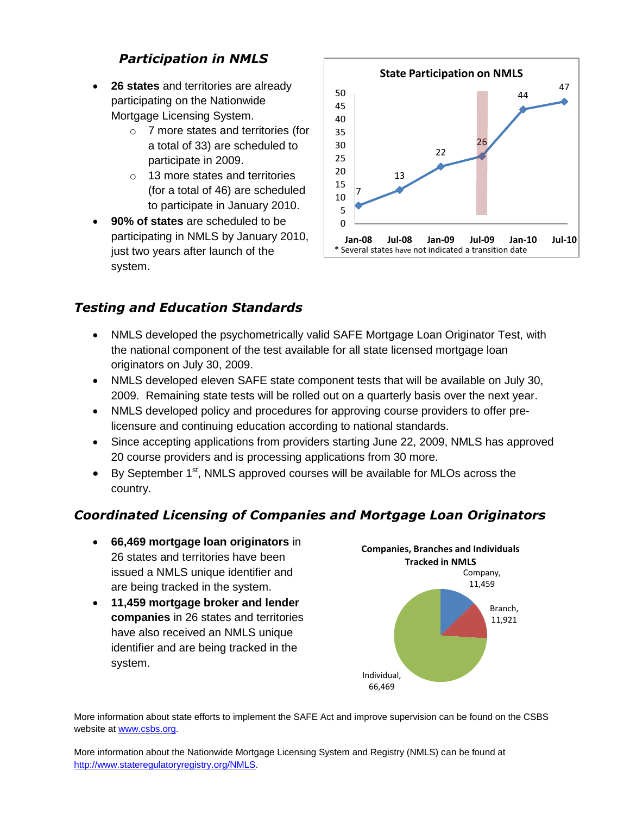### *Participation in NMLS*

- **26 states** and territories are already participating on the Nationwide Mortgage Licensing System.
	- o 7 more states and territories (for a total of 33) are scheduled to participate in 2009.
	- o 13 more states and territories (for a total of 46) are scheduled to participate in January 2010.
- **90% of states** are scheduled to be participating in NMLS by January 2010, just two years after launch of the system.



### *Testing and Education Standards*

- NMLS developed the psychometrically valid SAFE Mortgage Loan Originator Test, with the national component of the test available for all state licensed mortgage loan originators on July 30, 2009.
- NMLS developed eleven SAFE state component tests that will be available on July 30, 2009. Remaining state tests will be rolled out on a quarterly basis over the next year.
- NMLS developed policy and procedures for approving course providers to offer prelicensure and continuing education according to national standards.
- Since accepting applications from providers starting June 22, 2009, NMLS has approved 20 course providers and is processing applications from 30 more.
- $\bullet$  By September 1<sup>st</sup>, NMLS approved courses will be available for MLOs across the country.

### *Coordinated Licensing of Companies and Mortgage Loan Originators*

- **66,469 mortgage loan originators** in 26 states and territories have been issued a NMLS unique identifier and are being tracked in the system.
- **11,459 mortgage broker and lender companies** in 26 states and territories have also received an NMLS unique identifier and are being tracked in the system.



More information about state efforts to implement the SAFE Act and improve supervision can be found on the CSBS website at [www.csbs.org](http://www.csbs.org/).

More information about the Nationwide Mortgage Licensing System and Registry (NMLS) can be found at <http://www.stateregulatoryregistry.org/NMLS>.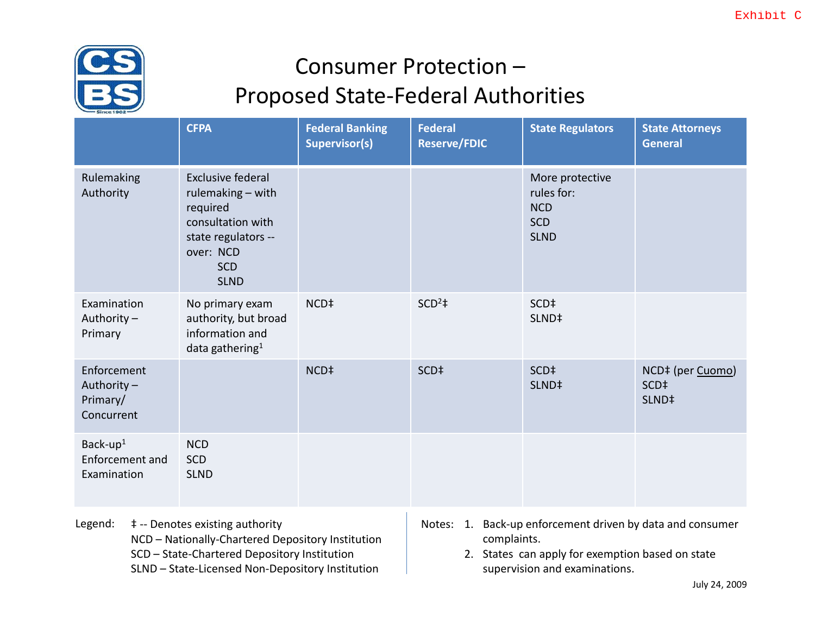

# Consumer Protection – Proposed State‐Federal Authorities

|                                                     | <b>CFPA</b>                                                                                                                                     | <b>Federal Banking</b><br><b>Supervisor(s)</b> | <b>Federal</b><br><b>Reserve/FDIC</b> | <b>State Regulators</b>                                                  | <b>State Attorneys</b><br><b>General</b>                  |
|-----------------------------------------------------|-------------------------------------------------------------------------------------------------------------------------------------------------|------------------------------------------------|---------------------------------------|--------------------------------------------------------------------------|-----------------------------------------------------------|
| Rulemaking<br>Authority                             | <b>Exclusive federal</b><br>rulemaking - with<br>required<br>consultation with<br>state regulators --<br>over: NCD<br><b>SCD</b><br><b>SLND</b> |                                                |                                       | More protective<br>rules for:<br><b>NCD</b><br><b>SCD</b><br><b>SLND</b> |                                                           |
| Examination<br>Authority-<br>Primary                | No primary exam<br>authority, but broad<br>information and<br>data gathering <sup>1</sup>                                                       | NCD <sup>‡</sup>                               | $SCD2$ #                              | SCD <sup>‡</sup><br>SLND <sup>‡</sup>                                    |                                                           |
| Enforcement<br>Authority-<br>Primary/<br>Concurrent |                                                                                                                                                 | NCD <sup>‡</sup>                               | SCD <sup>‡</sup>                      | SCD <sup>‡</sup><br>SLND <sup>‡</sup>                                    | NCD‡ (per Cuomo)<br>SCD <sup>‡</sup><br>SLND <sup>‡</sup> |
| Back-up $1$<br>Enforcement and<br>Examination       | <b>NCD</b><br><b>SCD</b><br><b>SLND</b>                                                                                                         |                                                |                                       |                                                                          |                                                           |

- Legend:  $\ddagger$  -- Denotes existing authority
	- NCD Nationally‐Chartered Depository Institution
	- SCD State‐Chartered Depository Institution
	- SLND State‐Licensed Non‐Depository Institution
- Notes: 1. Back‐up enforcement driven by data and consumer complaints.
	- 2. States can apply for exemption based on state supervision and examinations.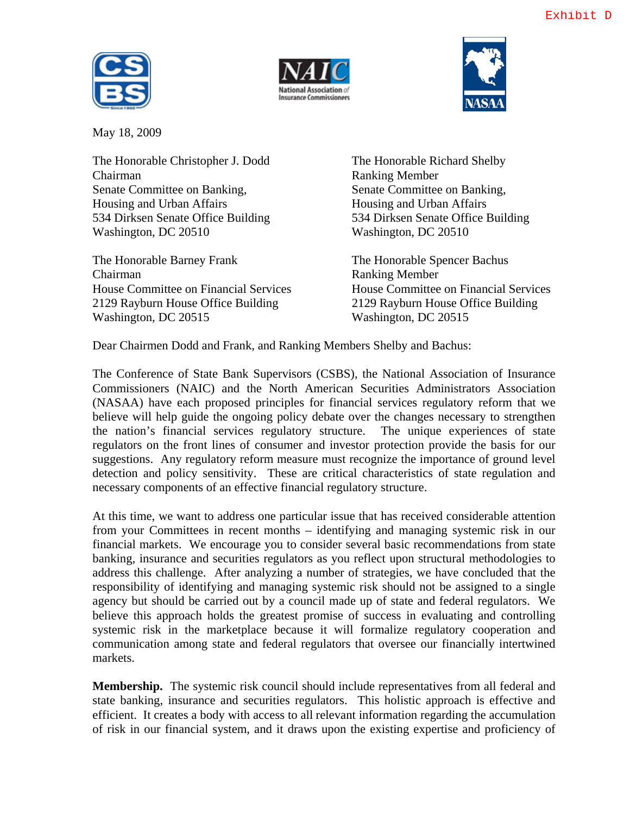





May 18, 2009

The Honorable Christopher J. Dodd The Honorable Richard Shelby Chairman Ranking Member Senate Committee on Banking, Senate Committee on Banking, Housing and Urban Affairs **Housing and Urban Affairs** 534 Dirksen Senate Office Building 534 Dirksen Senate Office Building Washington, DC 20510 Washington, DC 20510

The Honorable Barney Frank The Honorable Spencer Bachus Chairman Ranking Member 2129 Rayburn House Office Building 2129 Rayburn House Office Building Washington, DC 20515 Washington, DC 20515

House Committee on Financial Services House Committee on Financial Services

Dear Chairmen Dodd and Frank, and Ranking Members Shelby and Bachus:

The Conference of State Bank Supervisors (CSBS), the National Association of Insurance Commissioners (NAIC) and the North American Securities Administrators Association (NASAA) have each proposed principles for financial services regulatory reform that we believe will help guide the ongoing policy debate over the changes necessary to strengthen the nation's financial services regulatory structure. The unique experiences of state regulators on the front lines of consumer and investor protection provide the basis for our suggestions. Any regulatory reform measure must recognize the importance of ground level detection and policy sensitivity. These are critical characteristics of state regulation and necessary components of an effective financial regulatory structure.

At this time, we want to address one particular issue that has received considerable attention from your Committees in recent months – identifying and managing systemic risk in our financial markets. We encourage you to consider several basic recommendations from state banking, insurance and securities regulators as you reflect upon structural methodologies to address this challenge. After analyzing a number of strategies, we have concluded that the responsibility of identifying and managing systemic risk should not be assigned to a single agency but should be carried out by a council made up of state and federal regulators. We believe this approach holds the greatest promise of success in evaluating and controlling systemic risk in the marketplace because it will formalize regulatory cooperation and communication among state and federal regulators that oversee our financially intertwined markets.

**Membership.** The systemic risk council should include representatives from all federal and state banking, insurance and securities regulators. This holistic approach is effective and efficient. It creates a body with access to all relevant information regarding the accumulation of risk in our financial system, and it draws upon the existing expertise and proficiency of